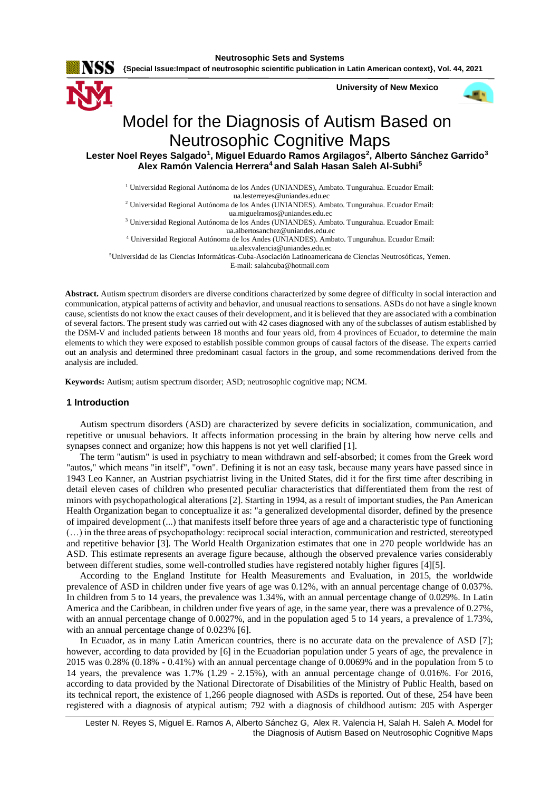**Neutrosophic Sets and Systems**

**{Special Issue:Impact of neutrosophic scientific publication in Latin American context}, Vol. 44, 2021**

**University of New Mexico**



# Model for the Diagnosis of Autism Based on Neutrosophic Cognitive Maps

**Lester Noel Reyes Salgado<sup>1</sup> , Miguel Eduardo Ramos Argilagos<sup>2</sup> , Alberto Sánchez Garrido<sup>3</sup> Alex Ramón Valencia Herrera<sup>4</sup>and Salah Hasan Saleh Al-Subhi<sup>5</sup>**

<sup>1</sup> Universidad Regional Autónoma de los Andes (UNIANDES), Ambato. Tungurahua. Ecuador Email:

 [ua.lesterreyes@uniandes.edu.ec](mailto:ua.lesterreyes@uniandes.edu.ec) <sup>2</sup> Universidad Regional Autónoma de los Andes (UNIANDES). Ambato. Tungurahua. Ecuador Email:

[ua.miguelramos@uniandes.edu.ec](mailto:ua.miguelramos@uniandes.edu.ec)

<sup>3</sup> Universidad Regional Autónoma de los Andes (UNIANDES). Ambato. Tungurahua. Ecuador Email: [ua.albertosanchez@uniandes.edu.ec](mailto:ua.albertosanchez@uniandes.edu.ec)

<sup>4</sup> Universidad Regional Autónoma de los Andes (UNIANDES). Ambato. Tungurahua. Ecuador Email: [ua.alexvalencia@uniandes.edu.ec](mailto:ua.alexvalencia@uniandes.edu.ec)

<sup>5</sup>Universidad de las Ciencias Informáticas-Cuba-Asociación Latinoamericana de Ciencias Neutrosóficas, Yemen.

E-mail: [salahcuba@hotmail.com](mailto:salahcuba@hotmail.com)

**Abstract.** Autism spectrum disorders are diverse conditions characterized by some degree of difficulty in social interaction and communication, atypical patterns of activity and behavior, and unusual reactions to sensations. ASDs do not have a single known cause, scientists do not know the exact causes of their development, and it is believed that they are associated with a combination of several factors. The present study was carried out with 42 cases diagnosed with any of the subclasses of autism established by the DSM-V and included patients between 18 months and four years old, from 4 provinces of Ecuador, to determine the main elements to which they were exposed to establish possible common groups of causal factors of the disease. The experts carried out an analysis and determined three predominant casual factors in the group, and some recommendations derived from the analysis are included.

**Keywords:** Autism; autism spectrum disorder; ASD; neutrosophic cognitive map; NCM.

## **1 Introduction**

Autism spectrum disorders (ASD) are characterized by severe deficits in socialization, communication, and repetitive or unusual behaviors. It affects information processing in the brain by altering how nerve cells and synapses connect and organize; how this happens is not yet well clarified [1].

The term "autism" is used in psychiatry to mean withdrawn and self-absorbed; it comes from the Greek word "autos," which means "in itself", "own". Defining it is not an easy task, because many years have passed since in 1943 Leo Kanner, an Austrian psychiatrist living in the United States, did it for the first time after describing in detail eleven cases of children who presented peculiar characteristics that differentiated them from the rest of minors with psychopathological alterations [2]. Starting in 1994, as a result of important studies, the Pan American Health Organization began to conceptualize it as: "a generalized developmental disorder, defined by the presence of impaired development (...) that manifests itself before three years of age and a characteristic type of functioning (…) in the three areas of psychopathology: reciprocal social interaction, communication and restricted, stereotyped and repetitive behavior [3]. The World Health Organization estimates that one in 270 people worldwide has an ASD. This estimate represents an average figure because, although the observed prevalence varies considerably between different studies, some well-controlled studies have registered notably higher figures [4][5].

According to the England Institute for Health Measurements and Evaluation, in 2015, the worldwide prevalence of ASD in children under five years of age was 0.12%, with an annual percentage change of 0.037%. In children from 5 to 14 years, the prevalence was 1.34%, with an annual percentage change of 0.029%. In Latin America and the Caribbean, in children under five years of age, in the same year, there was a prevalence of 0.27%, with an annual percentage change of 0.0027%, and in the population aged 5 to 14 years, a prevalence of 1.73%, with an annual percentage change of 0.023% [6].

In Ecuador, as in many Latin American countries, there is no accurate data on the prevalence of ASD [7]; however, according to data provided by [6] in the Ecuadorian population under 5 years of age, the prevalence in 2015 was 0.28% (0.18% - 0.41%) with an annual percentage change of 0.0069% and in the population from 5 to 14 years, the prevalence was 1.7% (1.29 - 2.15%), with an annual percentage change of 0.016%. For 2016, according to data provided by the National Directorate of Disabilities of the Ministry of Public Health, based on its technical report, the existence of 1,266 people diagnosed with ASDs is reported. Out of these, 254 have been registered with a diagnosis of atypical autism; 792 with a diagnosis of childhood autism: 205 with Asperger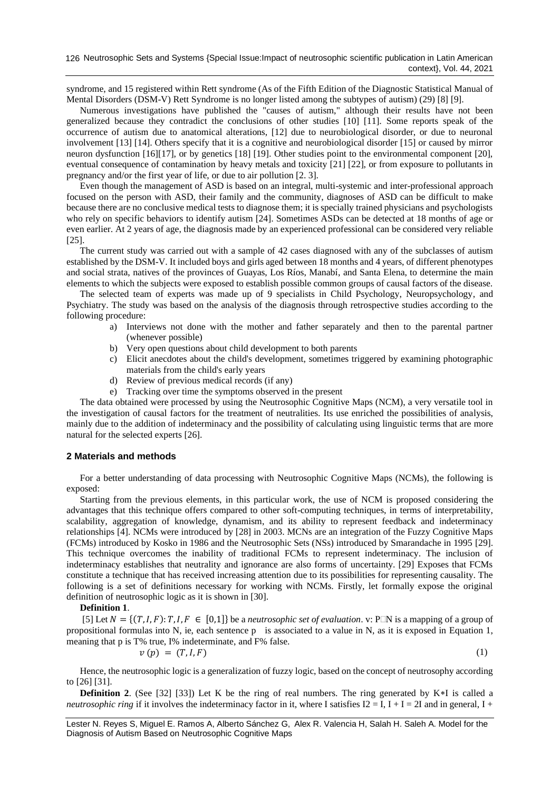syndrome, and 15 registered within Rett syndrome (As of the Fifth Edition of the Diagnostic Statistical Manual of Mental Disorders (DSM-V) Rett Syndrome is no longer listed among the subtypes of autism) (29) [8] [9].

Numerous investigations have published the "causes of autism," although their results have not been generalized because they contradict the conclusions of other studies [10] [11]. Some reports speak of the occurrence of autism due to anatomical alterations, [12] due to neurobiological disorder, or due to neuronal involvement [13] [14]. Others specify that it is a cognitive and neurobiological disorder [15] or caused by mirror neuron dysfunction [16][17], or by genetics [18] [19]. Other studies point to the environmental component [20], eventual consequence of contamination by heavy metals and toxicity [21] [22], or from exposure to pollutants in pregnancy and/or the first year of life, or due to air pollution [2. 3].

Even though the management of ASD is based on an integral, multi-systemic and inter-professional approach focused on the person with ASD, their family and the community, diagnoses of ASD can be difficult to make because there are no conclusive medical tests to diagnose them; it is specially trained physicians and psychologists who rely on specific behaviors to identify autism [24]. Sometimes ASDs can be detected at 18 months of age or even earlier. At 2 years of age, the diagnosis made by an experienced professional can be considered very reliable [25].

The current study was carried out with a sample of 42 cases diagnosed with any of the subclasses of autism established by the DSM-V. It included boys and girls aged between 18 months and 4 years, of different phenotypes and social strata, natives of the provinces of Guayas, Los Ríos, Manabí, and Santa Elena, to determine the main elements to which the subjects were exposed to establish possible common groups of causal factors of the disease.

The selected team of experts was made up of 9 specialists in Child Psychology, Neuropsychology, and Psychiatry. The study was based on the analysis of the diagnosis through retrospective studies according to the following procedure:

- a) Interviews not done with the mother and father separately and then to the parental partner (whenever possible)
- b) Very open questions about child development to both parents
- c) Elicit anecdotes about the child's development, sometimes triggered by examining photographic materials from the child's early years
- d) Review of previous medical records (if any)
- e) Tracking over time the symptoms observed in the present

The data obtained were processed by using the Neutrosophic Cognitive Maps (NCM), a very versatile tool in the investigation of causal factors for the treatment of neutralities. Its use enriched the possibilities of analysis, mainly due to the addition of indeterminacy and the possibility of calculating using linguistic terms that are more natural for the selected experts [26].

## **2 Materials and methods**

For a better understanding of data processing with Neutrosophic Cognitive Maps (NCMs), the following is exposed:

Starting from the previous elements, in this particular work, the use of NCM is proposed considering the advantages that this technique offers compared to other soft-computing techniques, in terms of interpretability, scalability, aggregation of knowledge, dynamism, and its ability to represent feedback and indeterminacy relationships [4]. NCMs were introduced by [28] in 2003. MCNs are an integration of the Fuzzy Cognitive Maps (FCMs) introduced by Kosko in 1986 and the Neutrosophic Sets (NSs) introduced by Smarandache in 1995 [29]. This technique overcomes the inability of traditional FCMs to represent indeterminacy. The inclusion of indeterminacy establishes that neutrality and ignorance are also forms of uncertainty. [29] Exposes that FCMs constitute a technique that has received increasing attention due to its possibilities for representing causality. The following is a set of definitions necessary for working with NCMs. Firstly, let formally expose the original definition of neutrosophic logic as it is shown in [30].

#### **Definition 1**.

[5] Let  $N = \{(T, I, F): T, I, F \in [0,1]\}$  be a *neutrosophic set of evaluation*. v: P $\Box N$  is a mapping of a group of propositional formulas into N, ie, each sentence p is associated to a value in N, as it is exposed in Equation 1, meaning that p is T% true, I% indeterminate, and F% false.

$$
v(p) = (T, I, F) \tag{1}
$$

Hence, the neutrosophic logic is a generalization of fuzzy logic, based on the concept of neutrosophy according to [26] [31].

**Definition 2.** (See [32] [33]) Let K be the ring of real numbers. The ring generated by  $K*I$  is called a *neutrosophic ring* if it involves the indeterminacy factor in it, where I satisfies  $I2 = I$ ,  $I + I = 2I$  and in general,  $I + I = 2I$ 

Lester N. Reyes S, Miguel E. Ramos A, Alberto Sánchez G, Alex R. Valencia H, Salah H. Saleh A. Model for the Diagnosis of Autism Based on Neutrosophic Cognitive Maps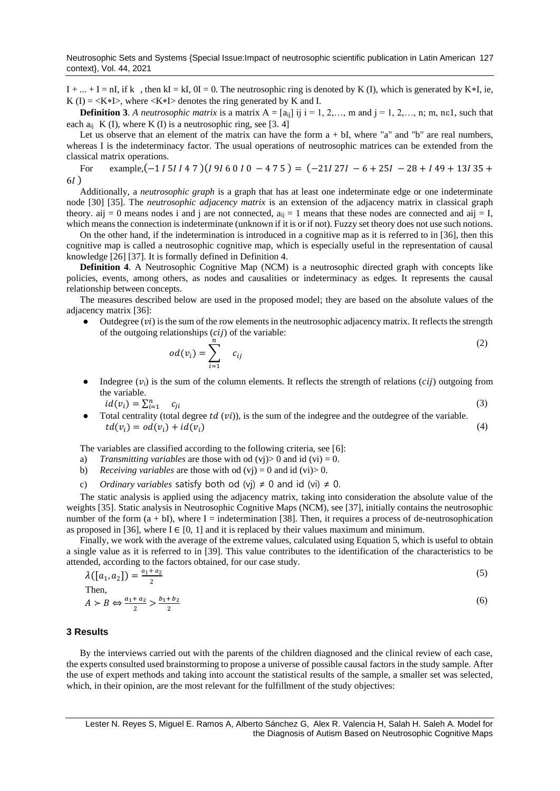$I + ... + I = nI$ , if k, then kI = kI, 0I = 0. The neutrosophic ring is denoted by K(I), which is generated by K\*I, ie, K (I) =  $\langle K*I \rangle$ , where  $\langle K*I \rangle$  denotes the ring generated by K and I.

**Definition 3**. A neutrosophic matrix is a matrix  $A = [a_{ij}]$  ij  $i = 1, 2,..., m$  and  $j = 1, 2,..., n$ ; m, n, n, n, such that each  $a_{ii}$  K (I), where K (I) is a neutrosophic ring, see [3, 4]

Let us observe that an element of the matrix can have the form  $a + bI$ , where "a" and "b" are real numbers, whereas I is the indeterminacy factor. The usual operations of neutrosophic matrices can be extended from the classical matrix operations.

For example,  $(-1151147)(1916010 - 475) = (-211271 - 6 + 251 - 28 + 149 + 13135 +$  $6I)$ 

Additionally, a *neutrosophic graph* is a graph that has at least one indeterminate edge or one indeterminate node [30] [35]. The *neutrosophic adjacency matrix* is an extension of the adjacency matrix in classical graph theory, aij = 0 means nodes i and j are not connected,  $a_{ii} = 1$  means that these nodes are connected and aij = I, which means the connection is indeterminate (unknown if it is or if not). Fuzzy set theory does not use such notions.

On the other hand, if the indetermination is introduced in a cognitive map as it is referred to in [36], then this cognitive map is called a neutrosophic cognitive map, which is especially useful in the representation of causal knowledge [26] [37]. It is formally defined in Definition 4.

**Definition 4**. A Neutrosophic Cognitive Map (NCM) is a neutrosophic directed graph with concepts like policies, events, among others, as nodes and causalities or indeterminacy as edges. It represents the causal relationship between concepts.

The measures described below are used in the proposed model; they are based on the absolute values of the adjacency matrix [36]:

Outdegree  $(vi)$  is the sum of the row elements in the neutrosophic adjacency matrix. It reflects the strength of the outgoing relationships  $(cij)$  of the variable:

$$
od(v_i) = \sum_{i=1}^{n} c_{ij}
$$
 (2)

- Indegree  $(v_i)$  is the sum of the column elements. It reflects the strength of relations (*cij*) outgoing from the variable.
	- $id(v_i) = \sum_{i=1}^n$  $c_{ji}$  (3)
- Total centrality (total degree  $td(vi)$ ), is the sum of the indegree and the outdegree of the variable.  $td(v_i) = od(v_i) + id(v_i)$  (4)

The variables are classified according to the following criteria, see [\[6\]](#page-7-0):

- a) *Transmitting variables* are those with od  $(v<sub>i</sub>) > 0$  and id  $(v<sub>i</sub>) = 0$ .
- b) *Receiving variables* are those with od (vj) = 0 and id (vi) > 0.
- c) *Ordinary variables* satisfy both od (vj)  $\neq$  0 and id (vi)  $\neq$  0.

The static analysis is applied using the adjacency matrix, taking into consideration the absolute value of the weights [35]. Static analysis in Neutrosophic Cognitive Maps (NCM), see [37], initially contains the neutrosophic number of the form  $(a + bI)$ , where I = indetermination [38]. Then, it requires a process of de-neutrosophication as proposed in [36], where  $I \in [0, 1]$  and it is replaced by their values maximum and minimum.

Finally, we work with the average of the extreme values, calculated using Equation 5, which is useful to obtain a single value as it is referred to in [39]. This value contributes to the identification of the characteristics to be attended, according to the factors obtained, for our case study.

| $\lambda([a_1, a_2]) = \frac{a_1 + a_2}{2}$                       |     |
|-------------------------------------------------------------------|-----|
| Then,                                                             |     |
| $A > B \Leftrightarrow \frac{a_1 + a_2}{2} > \frac{b_1 + b_2}{2}$ | (6) |

### **3 Results**

By the interviews carried out with the parents of the children diagnosed and the clinical review of each case, the experts consulted used brainstorming to propose a universe of possible causal factors in the study sample. After the use of expert methods and taking into account the statistical results of the sample, a smaller set was selected, which, in their opinion, are the most relevant for the fulfillment of the study objectives: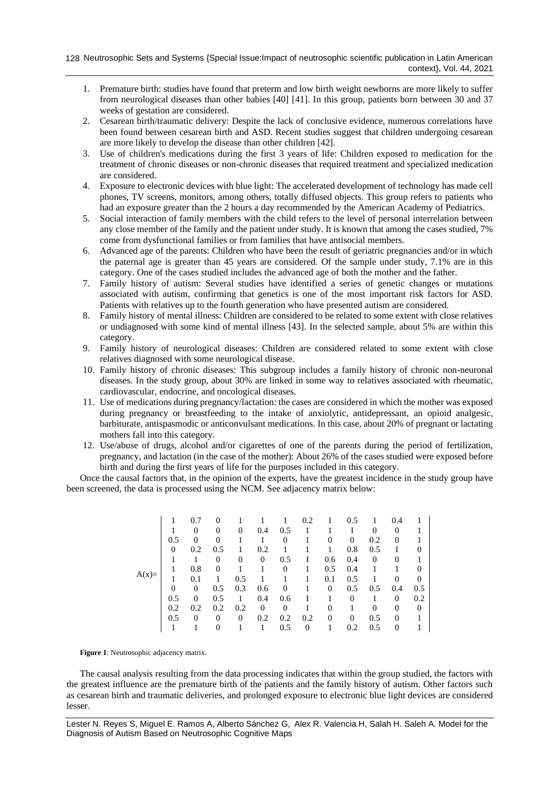- 1. Premature birth: studies have found that preterm and low birth weight newborns are more likely to suffer from neurological diseases than other babies [40] [41]. In this group, patients born between 30 and 37 weeks of gestation are considered.
- 2. Cesarean birth/traumatic delivery: Despite the lack of conclusive evidence, numerous correlations have been found between cesarean birth and ASD. Recent studies suggest that children undergoing cesarean are more likely to develop the disease than other children [42].
- 3. Use of children's medications during the first 3 years of life: Children exposed to medication for the treatment of chronic diseases or non-chronic diseases that required treatment and specialized medication are considered.
- 4. Exposure to electronic devices with blue light: The accelerated development of technology has made cell phones, TV screens, monitors, among others, totally diffused objects. This group refers to patients who had an exposure greater than the 2 hours a day recommended by the American Academy of Pediatrics.
- 5. Social interaction of family members with the child refers to the level of personal interrelation between any close member of the family and the patient under study. It is known that among the cases studied, 7% come from dysfunctional families or from families that have antisocial members.
- 6. Advanced age of the parents: Children who have been the result of geriatric pregnancies and/or in which the paternal age is greater than 45 years are considered. Of the sample under study, 7.1% are in this category. One of the cases studied includes the advanced age of both the mother and the father.
- 7. Family history of autism: Several studies have identified a series of genetic changes or mutations associated with autism, confirming that genetics is one of the most important risk factors for ASD. Patients with relatives up to the fourth generation who have presented autism are considered.
- 8. Family history of mental illness: Children are considered to be related to some extent with close relatives or undiagnosed with some kind of mental illness [43]. In the selected sample, about 5% are within this category.
- 9. Family history of neurological diseases: Children are considered related to some extent with close relatives diagnosed with some neurological disease.
- 10. Family history of chronic diseases: This subgroup includes a family history of chronic non-neuronal diseases. In the study group, about 30% are linked in some way to relatives associated with rheumatic, cardiovascular, endocrine, and oncological diseases.
- 11. Use of medications during pregnancy/lactation: the cases are considered in which the mother was exposed during pregnancy or breastfeeding to the intake of anxiolytic, antidepressant, an opioid analgesic, barbiturate, antispasmodic or anticonvulsant medications. In this case, about 20% of pregnant or lactating mothers fall into this category.
- 12. Use/abuse of drugs, alcohol and/or cigarettes of one of the parents during the period of fertilization, pregnancy, and lactation (in the case of the mother): About 26% of the cases studied were exposed before birth and during the first years of life for the purposes included in this category.

Once the causal factors that, in the opinion of the experts, have the greatest incidence in the study group have been screened, the data is processed using the NCM. See adjacency matrix below:

|         |     | 0.7            | 0        |          |                |                | 0.2 |          | 0.5      |                | 0.4            |     |
|---------|-----|----------------|----------|----------|----------------|----------------|-----|----------|----------|----------------|----------------|-----|
|         |     | 0              | 0        | 0        | 0.4            | 0.5            |     |          |          | 0              | $\overline{0}$ |     |
|         | 0.5 | 0              | 0        |          |                | $\overline{0}$ |     | $\Omega$ | 0        | 0.2            | $\overline{0}$ |     |
|         | 0   | 0.2            | 0.5      |          | 0.2            |                |     |          | 0.8      | 0.5            |                | 0   |
|         |     |                | 0        | 0        | $\overline{0}$ | 0.5            | L   | 0.6      | 0.4      | $\overline{0}$ | $\overline{0}$ |     |
|         |     | 0.8            | 0        |          |                | 0              |     | 0.5      | 0.4      |                |                | 0   |
| $A(x)=$ |     | 0.1            |          | 0.5      |                |                |     | 0.1      | 0.5      |                | $\theta$       | 0   |
|         | 0   | $\overline{0}$ | 0.5      | 0.3      | 0.6            | 0              |     | $\Omega$ | 0.5      | 0.5            | 0.4            | 0.5 |
|         | 0.5 | $\theta$       | 0.5      |          | 0.4            | 0.6            |     |          | $\Omega$ |                | 0              | 0.2 |
|         | 0.2 | 0.2            | 0.2      | 0.2      | $\theta$       | 0              |     | $\Omega$ |          | 0              | $\theta$       | 0   |
|         | 0.5 | $\Omega$       | 0        | $\theta$ | 0.2            | 0.2            | 0.2 | $\Omega$ | $\Omega$ | 0.5            | $\Omega$       |     |
|         |     |                | $\theta$ |          |                | 0.5            | 0   |          | 0.2      | 0.5            | 0              |     |

**Figure 1**: Neutrosophic adjacency matrix.

The causal analysis resulting from the data processing indicates that within the group studied, the factors with the greatest influence are the premature birth of the patients and the family history of autism. Other factors such as cesarean birth and traumatic deliveries, and prolonged exposure to electronic blue light devices are considered lesser.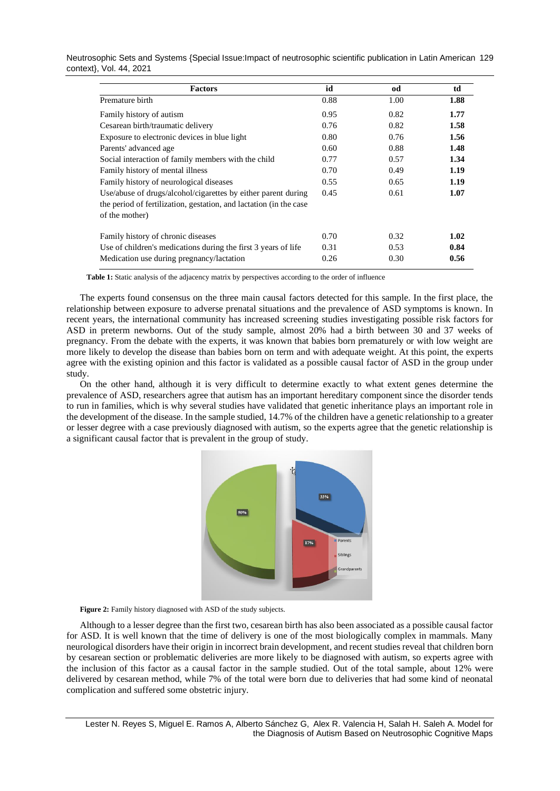| Neutrosophic Sets and Systems {Special Issue: Impact of neutrosophic scientific publication in Latin American 129 |  |
|-------------------------------------------------------------------------------------------------------------------|--|
| context, Vol. 44, 2021                                                                                            |  |

| <b>Factors</b>                                                                                                                                        | id   | od   | td   |
|-------------------------------------------------------------------------------------------------------------------------------------------------------|------|------|------|
| Premature birth                                                                                                                                       | 0.88 | 1.00 | 1.88 |
| Family history of autism                                                                                                                              | 0.95 | 0.82 | 1.77 |
| Cesarean birth/traumatic delivery                                                                                                                     | 0.76 | 0.82 | 1.58 |
| Exposure to electronic devices in blue light                                                                                                          | 0.80 | 0.76 | 1.56 |
| Parents' advanced age                                                                                                                                 | 0.60 | 0.88 | 1.48 |
| Social interaction of family members with the child                                                                                                   | 0.77 | 0.57 | 1.34 |
| Family history of mental illness                                                                                                                      | 0.70 | 0.49 | 1.19 |
| Family history of neurological diseases                                                                                                               | 0.55 | 0.65 | 1.19 |
| Use/abuse of drugs/alcohol/cigarettes by either parent during<br>the period of fertilization, gestation, and lactation (in the case<br>of the mother) | 0.45 | 0.61 | 1.07 |
| Family history of chronic diseases                                                                                                                    | 0.70 | 0.32 | 1.02 |
| Use of children's medications during the first 3 years of life                                                                                        | 0.31 | 0.53 | 0.84 |
| Medication use during pregnancy/lactation                                                                                                             | 0.26 | 0.30 | 0.56 |

**Table 1:** Static analysis of the adjacency matrix by perspectives according to the order of influence

The experts found consensus on the three main causal factors detected for this sample. In the first place, the relationship between exposure to adverse prenatal situations and the prevalence of ASD symptoms is known. In recent years, the international community has increased screening studies investigating possible risk factors for ASD in preterm newborns. Out of the study sample, almost 20% had a birth between 30 and 37 weeks of pregnancy. From the debate with the experts, it was known that babies born prematurely or with low weight are more likely to develop the disease than babies born on term and with adequate weight. At this point, the experts agree with the existing opinion and this factor is validated as a possible causal factor of ASD in the group under study.

On the other hand, although it is very difficult to determine exactly to what extent genes determine the prevalence of ASD, researchers agree that autism has an important hereditary component since the disorder tends to run in families, which is why several studies have validated that genetic inheritance plays an important role in the development of the disease. In the sample studied, 14.7% of the children have a genetic relationship to a greater or lesser degree with a case previously diagnosed with autism, so the experts agree that the genetic relationship is a significant causal factor that is prevalent in the group of study.



Figure 2: Family history diagnosed with ASD of the study subjects.

Although to a lesser degree than the first two, cesarean birth has also been associated as a possible causal factor for ASD. It is well known that the time of delivery is one of the most biologically complex in mammals. Many neurological disorders have their origin in incorrect brain development, and recent studies reveal that children born by cesarean section or problematic deliveries are more likely to be diagnosed with autism, so experts agree with the inclusion of this factor as a causal factor in the sample studied. Out of the total sample, about 12% were delivered by cesarean method, while 7% of the total were born due to deliveries that had some kind of neonatal complication and suffered some obstetric injury.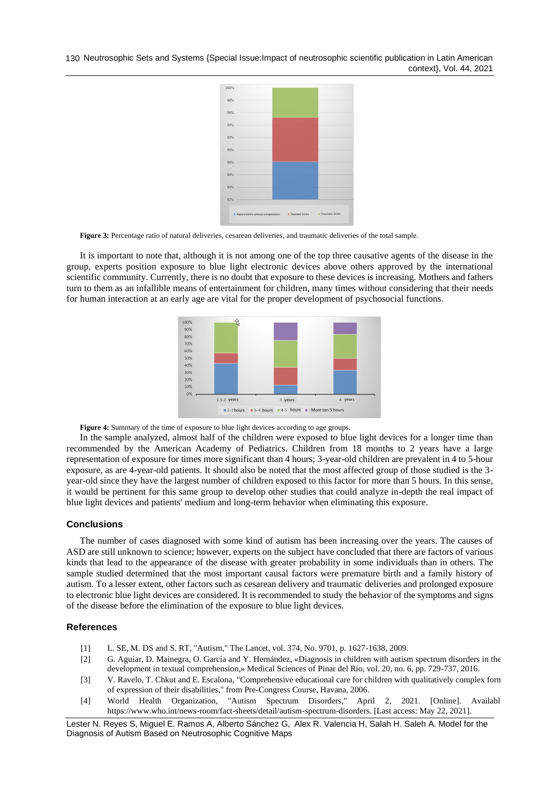130 Neutrosophic Sets and Systems {Special Issue:Impact of neutrosophic scientific publication in Latin American context}, Vol. 44, 2021



Figure 3: Percentage ratio of natural deliveries, cesarean deliveries, and traumatic deliveries of the total sample.

It is important to note that, although it is not among one of the top three causative agents of the disease in the group, experts position exposure to blue light electronic devices above others approved by the international scientific community. Currently, there is no doubt that exposure to these devices is increasing. Mothers and fathers turn to them as an infallible means of entertainment for children, many times without considering that their needs for human interaction at an early age are vital for the proper development of psychosocial functions.



Figure 4: Summary of the time of exposure to blue light devices according to age groups.

In the sample analyzed, almost half of the children were exposed to blue light devices for a longer time than recommended by the American Academy of Pediatrics. Children from 18 months to 2 years have a large representation of exposure for times more significant than 4 hours; 3-year-old children are prevalent in 4 to 5-hour exposure, as are 4-year-old patients. It should also be noted that the most affected group of those studied is the 3 year-old since they have the largest number of children exposed to this factor for more than 5 hours. In this sense, it would be pertinent for this same group to develop other studies that could analyze in-depth the real impact of blue light devices and patients' medium and long-term behavior when eliminating this exposure.

#### **Conclusions**

The number of cases diagnosed with some kind of autism has been increasing over the years. The causes of ASD are still unknown to science; however, experts on the subject have concluded that there are factors of various kinds that lead to the appearance of the disease with greater probability in some individuals than in others. The sample studied determined that the most important causal factors were premature birth and a family history of autism. To a lesser extent, other factors such as cesarean delivery and traumatic deliveries and prolonged exposure to electronic blue light devices are considered. It is recommended to study the behavior of the symptoms and signs of the disease before the elimination of the exposure to blue light devices.

#### **References**

- [1] L. SE, M. DS and S. RT, "Autism," The Lancet, vol. 374, No. 9701, p. 1627-1638, 2009.
- [2] G. Aguiar, D. Mainegra, O. García and Y. Hernández, «Diagnosis in children with autism spectrum disorders in the development in textual comprehension,» Medical Sciences of Pinar del Río, vol. 20, no. 6, pp. 729-737, 2016.
- [3] V. Ravelo, T. Chkut and E. Escalona, "Comprehensive educational care for children with qualitatively complex forms of expression of their disabilities," from Pre-Congress Course, Havana, 2006.
- [4] World Health Organization, "Autism Spectrum Disorders," April 2, 2021. [Online]. Available: https://www.who.int/news-room/fact-sheets/detail/autism-spectrum-disorders. [Last access: May 22, 2021].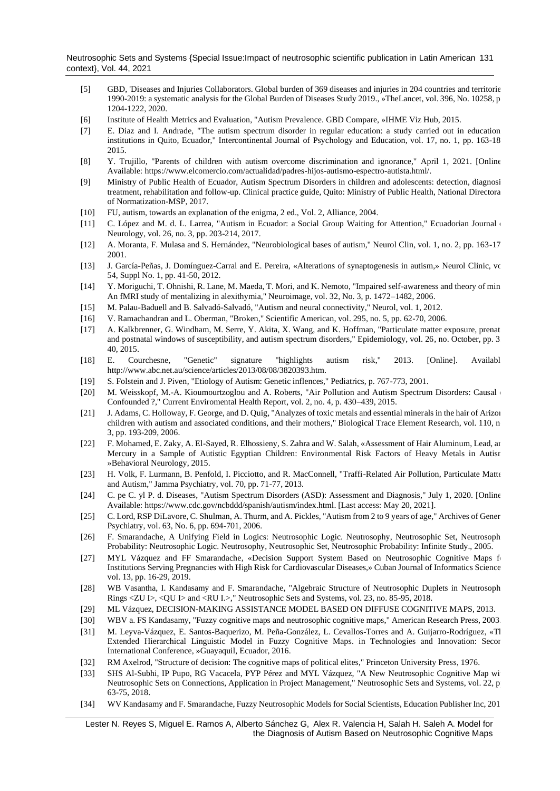Neutrosophic Sets and Systems {Special Issue:Impact of neutrosophic scientific publication in Latin American 131 context}, Vol. 44, 2021

- [5] GBD, 'Diseases and Injuries Collaborators. Global burden of 369 diseases and injuries in 204 countries and territories, 1990-2019: a systematic analysis for the Global Burden of Diseases Study 2019., »TheLancet, vol. 396, No. 10258, pp. 1204-1222, 2020.
- [6] Institute of Health Metrics and Evaluation, "Autism Prevalence. GBD Compare, »IHME Viz Hub, 2015.
- [7] E. Diaz and I. Andrade, "The autism spectrum disorder in regular education: a study carried out in education institutions in Quito, Ecuador," Intercontinental Journal of Psychology and Education, vol. 17, no. 1, pp. 163-18 2015.
- [8] Y. Trujillo, "Parents of children with autism overcome discrimination and ignorance," April 1, 2021. [Online] Available: https://www.elcomercio.com/actualidad/padres-hijos-autismo-espectro-autista.html/.
- [9] Ministry of Public Health of Ecuador, Autism Spectrum Disorders in children and adolescents: detection, diagnosi treatment, rehabilitation and follow-up. Clinical practice guide, Quito: Ministry of Public Health, National Directora of Normatization-MSP, 2017.
- [10] FU, autism, towards an explanation of the enigma, 2 ed., Vol. 2, Alliance, 2004.
- [11] C. López and M. d. L. Larrea, "Autism in Ecuador: a Social Group Waiting for Attention," Ecuadorian Journal Neurology, vol. 26, no. 3, pp. 203-214, 2017.
- [12] A. Moranta, F. Mulasa and S. Hernández, "Neurobiological bases of autism," Neurol Clin, vol. 1, no. 2, pp. 163-171, 2001.
- [13] J. García-Peñas, J. Domínguez-Carral and E. Pereira, «Alterations of synaptogenesis in autism,» Neurol Clinic, vo 54, Suppl No. 1, pp. 41-50, 2012.
- [14] Y. Moriguchi, T. Ohnishi, R. Lane, M. Maeda, T. Mori, and K. Nemoto, "Impaired self-awareness and theory of mind: An fMRI study of mentalizing in alexithymia," Neuroimage, vol. 32, No. 3, p. 1472–1482, 2006.
- [15] M. Palau-Baduell and B. Salvadó-Salvadó, "Autism and neural connectivity," Neurol, vol. 1, 2012.
- [16] V. Ramachandran and L. Oberman, "Broken," Scientific American, vol. 295, no. 5, pp. 62-70, 2006.
- [17] A. Kalkbrenner, G. Windham, M. Serre, Y. Akita, X. Wang, and K. Hoffman, "Particulate matter exposure, prenat and postnatal windows of susceptibility, and autism spectrum disorders," Epidemiology, vol. 26, no. October, pp. 3 40, 2015.
- [18] E. Courchesne, "Genetic" signature "highlights autism risk," 2013. [Online]. Available: http://www.abc.net.au/science/articles/2013/08/08/3820393.htm.
- [19] S. Folstein and J. Piven, "Etiology of Autism: Genetic inflences," Pediatrics, p. 767-773, 2001.
- [20] M. Weisskopf, M.-A. Kioumourtzoglou and A. Roberts, "Air Pollution and Autism Spectrum Disorders: Causal Confounded ?," Current Enviromental Health Report, vol. 2, no. 4, p. 430–439, 2015.
- [21] J. Adams, C. Holloway, F. George, and D. Quig, "Analyzes of toxic metals and essential minerals in the hair of Arizona children with autism and associated conditions, and their mothers," Biological Trace Element Research, vol. 110, n 3, pp. 193-209, 2006.
- [22] F. Mohamed, E. Zaky, A. El-Sayed, R. Elhossieny, S. Zahra and W. Salah, «Assessment of Hair Aluminum, Lead, an Mercury in a Sample of Autistic Egyptian Children: Environmental Risk Factors of Heavy Metals in Autism »Behavioral Neurology, 2015.
- [23] H. Volk, F. Lurmann, B. Penfold, I. Picciotto, and R. MacConnell, "Traffi-Related Air Pollution, Particulate Matter, and Autism," Jamma Psychiatry, vol. 70, pp. 71-77, 2013.
- [24] C. pe C. yl P. d. Diseases, "Autism Spectrum Disorders (ASD): Assessment and Diagnosis," July 1, 2020. [Online]. Available: https://www.cdc.gov/ncbddd/spanish/autism/index.html. [Last access: May 20, 2021].
- [25] C. Lord, RSP DiLavore, C. Shulman, A. Thurm, and A. Pickles, "Autism from 2 to 9 years of age," Archives of Gener Psychiatry, vol. 63, No. 6, pp. 694-701, 2006.
- [26] F. Smarandache, A Unifying Field in Logics: Neutrosophic Logic. Neutrosophy, Neutrosophic Set, Neutrosophic Probability: Neutrosophic Logic. Neutrosophy, Neutrosophic Set, Neutrosophic Probability: Infinite Study., 2005.
- [27] MYL Vázquez and FF Smarandache, «Decision Support System Based on Neutrosophic Cognitive Maps fo Institutions Serving Pregnancies with High Risk for Cardiovascular Diseases,» Cuban Journal of Informatics Science vol. 13, pp. 16-29, 2019.
- [28] WB Vasantha, I. Kandasamy and F. Smarandache, "Algebraic Structure of Neutrosophic Duplets in Neutrosophic Rings <ZU I>, <QU I> and <RU I.>," Neutrosophic Sets and Systems, vol. 23, no. 85-95, 2018.
- [29] ML Vázquez, DECISION-MAKING ASSISTANCE MODEL BASED ON DIFFUSE COGNITIVE MAPS, 2013.
- [30] WBV a. FS Kandasamy, "Fuzzy cognitive maps and neutrosophic cognitive maps," American Research Press, 2003.
- [31] M. Leyva-Vázquez, E. Santos-Baquerizo, M. Peña-González, L. Cevallos-Torres and A. Guijarro-Rodríguez, «The Extended Hierarchical Linguistic Model in Fuzzy Cognitive Maps. in Technologies and Innovation: Secon International Conference, »Guayaquil, Ecuador, 2016.
- [32] RM Axelrod, "Structure of decision: The cognitive maps of political elites," Princeton University Press, 1976.
- [33] SHS Al-Subhi, IP Pupo, RG Vacacela, PYP Pérez and MYL Vázquez, "A New Neutrosophic Cognitive Map wi Neutrosophic Sets on Connections, Application in Project Management," Neutrosophic Sets and Systems, vol. 22, p 63-75, 2018.
- [34] WV Kandasamy and F. Smarandache, Fuzzy Neutrosophic Models for Social Scientists, Education Publisher Inc, 2013.